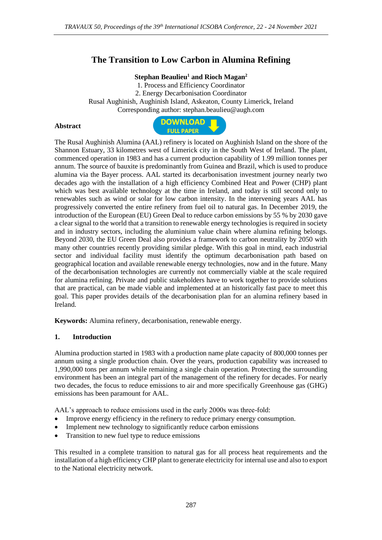# **The Transition to Low Carbon in Alumina Refining**

### **Stephan Beaulieu<sup>1</sup> and Rioch Magan<sup>2</sup>**

1. Process and Efficiency Coordinator 2. Energy Decarbonisation Coordinator Rusal Aughinish, Aughinish Island, Askeaton, County Limerick, Ireland Corresponding author: stephan.beaulieu@augh.com

#### **Abstract**



The Rusal Aughinish Alumina (AAL) refinery is located on Aughinish Island on the shore of the Shannon Estuary, 33 kilometres west of Limerick city in the South West of Ireland. The plant, commenced operation in 1983 and has a current production capability of 1.99 million tonnes per annum. The source of bauxite is predominantly from Guinea and Brazil, which is used to produce alumina via the Bayer process. AAL started its decarbonisation investment journey nearly two decades ago with the installation of a high efficiency Combined Heat and Power (CHP) plant which was best available technology at the time in Ireland, and today is still second only to renewables such as wind or solar for low carbon intensity. In the intervening years AAL has progressively converted the entire refinery from fuel oil to natural gas. In December 2019, the introduction of the European (EU) Green Deal to reduce carbon emissions by 55 % by 2030 gave a clear signal to the world that a transition to renewable energy technologies is required in society and in industry sectors, including the aluminium value chain where alumina refining belongs. Beyond 2030, the EU Green Deal also provides a framework to carbon neutrality by 2050 with many other countries recently providing similar pledge. With this goal in mind, each industrial sector and individual facility must identify the optimum decarbonisation path based on geographical location and available renewable energy technologies, now and in the future. Many of the decarbonisation technologies are currently not commercially viable at the scale required for alumina refining. Private and public stakeholders have to work together to provide solutions that are practical, can be made viable and implemented at an historically fast pace to meet this goal. This paper provides details of the decarbonisation plan for an alumina refinery based in Ireland.

**Keywords:** Alumina refinery, decarbonisation, renewable energy.

#### **1. Introduction**

Alumina production started in 1983 with a production name plate capacity of 800,000 tonnes per annum using a single production chain. Over the years, production capability was increased to 1,990,000 tons per annum while remaining a single chain operation. Protecting the surrounding environment has been an integral part of the management of the refinery for decades. For nearly two decades, the focus to reduce emissions to air and more specifically Greenhouse gas (GHG) emissions has been paramount for AAL.

AAL's approach to reduce emissions used in the early 2000s was three-fold:

- Improve energy efficiency in the refinery to reduce primary energy consumption.
- Implement new technology to significantly reduce carbon emissions
- Transition to new fuel type to reduce emissions

This resulted in a complete transition to natural gas for all process heat requirements and the installation of a high efficiency CHP plant to generate electricity for internal use and also to export to the National electricity network.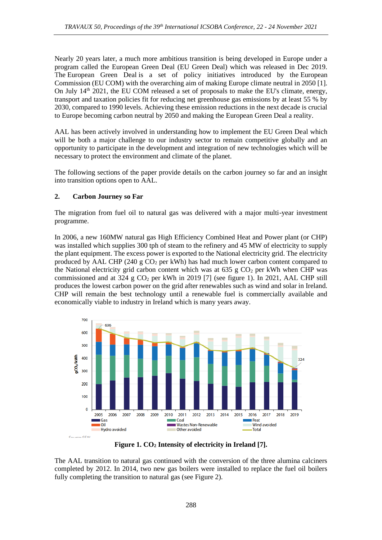Nearly 20 years later, a much more ambitious transition is being developed in Europe under a program called the European Green Deal (EU Green Deal) which was released in Dec 2019. The European Green Deal is a set of policy initiatives introduced by the [European](https://en.wikipedia.org/wiki/European_Commission)  [Commission](https://en.wikipedia.org/wiki/European_Commission) (EU COM) with the overarching aim of making Europe climate neutral in 2050 [1]. On July 14<sup>th</sup> 2021, the EU COM released a set of proposals to make the EU's climate, energy, transport and taxation policies fit for reducing net greenhouse gas emissions by at least 55 % by 2030, compared to 1990 levels. Achieving these emission reductions in the next decade is crucial to Europe becoming carbon neutral by 2050 and making the European Green Deal a reality.

AAL has been actively involved in understanding how to implement the EU Green Deal which will be both a major challenge to our industry sector to remain competitive globally and an opportunity to participate in the development and integration of new technologies which will be necessary to protect the environment and climate of the planet.

The following sections of the paper provide details on the carbon journey so far and an insight into transition options open to AAL.

# **2. Carbon Journey so Far**

The migration from fuel oil to natural gas was delivered with a major multi-year investment programme.

In 2006, a new 160MW natural gas High Efficiency Combined Heat and Power plant (or CHP) was installed which supplies 300 tph of steam to the refinery and 45 MW of electricity to supply the plant equipment. The excess power is exported to the National electricity grid. The electricity produced by AAL CHP (240 g  $CO<sub>2</sub>$  per kWh) has had much lower carbon content compared to the National electricity grid carbon content which was at 635 g  $CO<sub>2</sub>$  per kWh when CHP was commissioned and at 324 g  $CO<sub>2</sub>$  per kWh in 2019 [7] (see figure 1). In 2021, AAL CHP still produces the lowest carbon power on the grid after renewables such as wind and solar in Ireland. CHP will remain the best technology until a renewable fuel is commercially available and economically viable to industry in Ireland which is many years away.



**Figure 1. CO<sup>2</sup> Intensity of electricity in Ireland [7].**

The AAL transition to natural gas continued with the conversion of the three alumina calciners completed by 2012. In 2014, two new gas boilers were installed to replace the fuel oil boilers fully completing the transition to natural gas (see Figure 2).